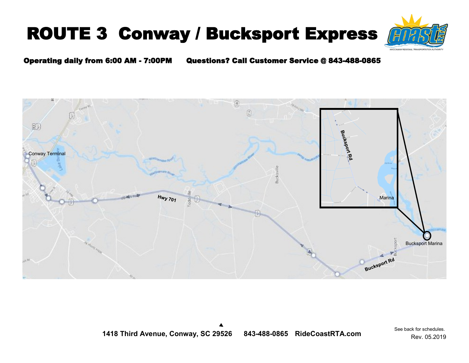# ROUTE 3 Conway / Bucksport Express



#### Operating daily from 6:00 AM - 7:00PM Questions? Call Customer Service @ 843-488-0865